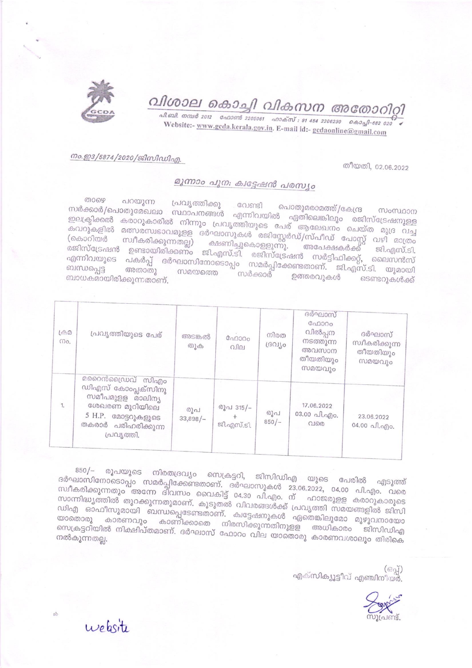

## വിശാല കൊച്ചി വികസന അതോറിറ്റി

வி வி. எம் 2012 வேணி 2205061 வாக்ஸ்: 91 484 2206230 கெஷி-682 020 Website:- www.gcda.kerala.gov.in. E-mail id:- gcdaonline@gmail.com

## നം.ഇ3/5874/2020/ജിസിഡിഎ.

തീയതി, 02.06.2022

## മൂന്നാം പുന: ക്വട്ടേഷൻ പരസ്യം

ைഴെ പറയുന്ന പ്രവൃത്തിക്കു പൊതുമരാമത്ത്/കേന്ദ്ര സർക്കാർ/പൊതുമേഖലാ സ്ഥാപനങ്ങൾ എന്നിവയിൽ ഏതിലെങ്കിലും രജിസ്ട്രേഷനുള്ള ഇലക്ട്രിക്കൽ കരാറുകാരിൽ നിന്നും പ്രവൃത്തിയുടെ പേര് ആലേഖനം ചെയ്ത മുദ്ര വച്ച കവറുകളിൽ മത്സരസ്വഭാവമുളള ദർഘാസുകൾ രജിസ്റ്റേർഡ്/സ്പീഡ് പോസ്റ്റ് വഴി മാത്രം (കൊറിയർ സ്വീകരിക്കുന്നതല്ല) ക്ഷണിച്ചുകൊളളുന്നു. അപേക്ഷകർക്ക് രാക്കാറിയത് സാത്രത്തുന്നതല്ലു ക്ഷണിച്ചുകൊളളുന്നു. അപേക്ഷകർക്ക് ജി.എസ്.ടി.<br>രജിസ്ട്രേഷൻ ഉണ്ടായിരിക്കണം ജി.എസ്.ടി. രജിസ്ട്രേഷൻ സർട്ടിഫിക്കറ്റ്, ലൈസൻസ് എന്നിവയുടെ പകർപ്പ് ദർഘാസിനോടൊപ്പം സമർപ്പിക്കേണ്ടതാണ്. ജി.എസ്.ടി. യുമായി സമയത്തെ സർക്കാര് ഉത്തരവുകൾ ടെണ്ടറുകൾക്ക് ബാധകമായിരിക്കുന്നതാണ്.

| $L \oplus \mathcal{D}$<br>mo. | പ്രവൃത്തിയുടെ പേര്                                                                                                                       | അടങ്കൽ<br>$\omega$ | ഫോറം<br>വില             | നിരത<br>ദ്രവീം | ദർഘാസ്<br>ഫോറം<br>വിൽപ്പന<br>നടത്തുന്ന<br>അവസാന<br>തീയതിയും<br>സമയവും | ദർഘാസ്<br>സ്വീകരിക്കുന്ന<br>തീയതിയും<br>സമയവും                        |
|-------------------------------|------------------------------------------------------------------------------------------------------------------------------------------|--------------------|-------------------------|----------------|-----------------------------------------------------------------------|-----------------------------------------------------------------------|
| 1.                            | മറൈൻഡ്രൈവ് സിഎം<br>ഡിഎസ് കോംപ്ലക്സിനു<br>സമീപമുളള മാലിന്യ<br>ശേഖരണ മൂറിയിലെ<br>5 H.P. മോട്ടറുകളുടെ<br>തകരാർ പരിഹരിക്കുന്ന<br>പ്രവ്യത്തി. | രുപ<br>$33,898/-$  | രൂപ 315/-<br>ജി.എസ്.ടി. | രൂപ<br>$850/-$ | 17.06.2022<br>03.00 പി.എം.<br>വരെ                                     | 23.06.2022<br>04.00 $\alpha$ <i>f</i> , $\alpha$ <i>f</i> ) $\circ$ . |

850/– രൂപയുടെ നിരതദ്രവ്യം സെക്രട്ടറി, ജിസിഡിഎ യുടെ പേരിൽ എടുത്ത് ദർഘാസിനോടൊപ്പം സമർപ്പിക്കേണ്ടതാണ്. ദർഘാസുകൾ 23.06.2022, 04.00 പി.എം. വരെ സ്ഥീകരിക്കുന്നതും അന്നേ ദിവസം വൈകിട്ട് 04.30 പി.എം. ന് ഹാജരുളള കരാറുകാരുടെ സാന്നിദ്ധ്യത്തിൽ തുറക്കുന്നതുമാണ്. കൂടുതൽ വിവരങ്ങൾക്ക് പ്രവൃത്തി സമയങ്ങളിൽ ജിസി ഡിഎ ഓഫീസുമായി ബന്ധപ്പെടേണ്ടതാണ്. ക്വട്ടേഷനുകൾ ഏതെങ്കിലുമോ മുഴുവനായോ യാതൊരു കാരണവും കാണിക്കാതെ നിരസിക്കുന്നതിനുളള അധികാരം ജിസിഡിഎ സെക്രട്ടറിയിൽ നിക്ഷിപ്തമാണ്. ദർഘാസ് ഫോറം വില യാതൊരു കാരണവശാലും തിരികെ

> (62) എക്സിക്യൂട്ടീവ് എഞ്ചിനീയർ.



website

ab